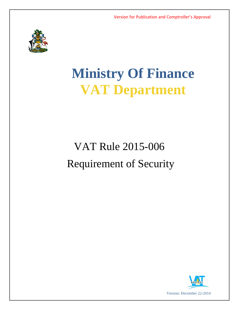

# **Ministry Of Finance VAT Department**

# VAT Rule 2015-006 Requirement of Security

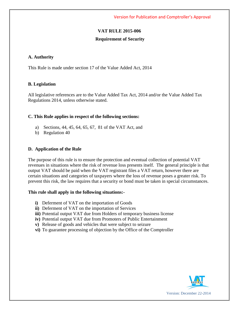# **VAT RULE 2015-006**

#### **Requirement of Security**

#### **A. Authority**

This Rule is made under section 17 of the Value Added Act, 2014

#### **B. Legislation**

All legislative references are to the Value Added Tax Act, 2014 and/or the Value Added Tax Regulations 2014, unless otherwise stated.

#### **C. This Rule applies in respect of the following sections:**

- a) Sections, 44, 45, 64, 65, 67, 81 of the VAT Act, and
- b) Regulation 40

#### **D. Application of the Rule**

The purpose of this rule is to ensure the protection and eventual collection of potential VAT revenues in situations where the risk of revenue loss presents itself. The general principle is that output VAT should be paid when the VAT registrant files a VAT return, however there are certain situations and categories of taxpayers where the loss of revenue poses a greater risk. To prevent this risk, the law requires that a security or bond must be taken in special circumstances.

#### **This rule shall apply in the following situations:-**

- **i)** Deferment of VAT on the importation of Goods
- **ii)** Deferment of VAT on the importation of Services
- **iii**) Potential output VAT due from Holders of temporary business license
- **iv)** Potential output VAT due from Promoters of Public Entertainment
- **v)** Release of goods and vehicles that were subject to seizure
- **vi)** To guarantee processing of objection by the Office of the Comptroller

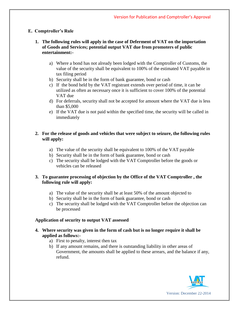# **E. Comptroller's Rule**

- **1. The following rules will apply in the case of Deferment of VAT on the importation of Goods and Services; potential output VAT due from promoters of public entertainment:**
	- a) Where a bond has not already been lodged with the Comptroller of Customs, the value of the security shall be equivalent to 100% of the estimated VAT payable in tax filing period
	- b) Security shall be in the form of bank guarantee, bond or cash
	- c) If the bond held by the VAT registrant extends over period of time, it can be utilized as often as necessary once it is sufficient to cover 100% of the potential VAT due
	- d) For deferrals, security shall not be accepted for amount where the VAT due is less than \$5,000
	- e) If the VAT due is not paid within the specified time, the security will be called in immediately

# **2. For the release of goods and vehicles that were subject to seizure, the following rules will apply:**

- a) The value of the security shall be equivalent to 100% of the VAT payable
- b) Security shall be in the form of bank guarantee, bond or cash
- c) The security shall be lodged with the VAT Comptroller before the goods or vehicles can be released

## **3. To guarantee processing of objection by the Office of the VAT Comptroller , the following rule will apply:**

- a) The value of the security shall be at least 50% of the amount objected to
- b) Security shall be in the form of bank guarantee, bond or cash
- c) The security shall be lodged with the VAT Comptroller before the objection can be processed

## **Application of security to output VAT assessed**

- **4. Where security was given in the form of cash but is no longer require it shall be applied as follows:**
	- a) First to penalty, interest then tax
	- b) If any amount remains, and there is outstanding liability in other areas of Government, the amounts shall be applied to these arrears, and the balance if any, refund.